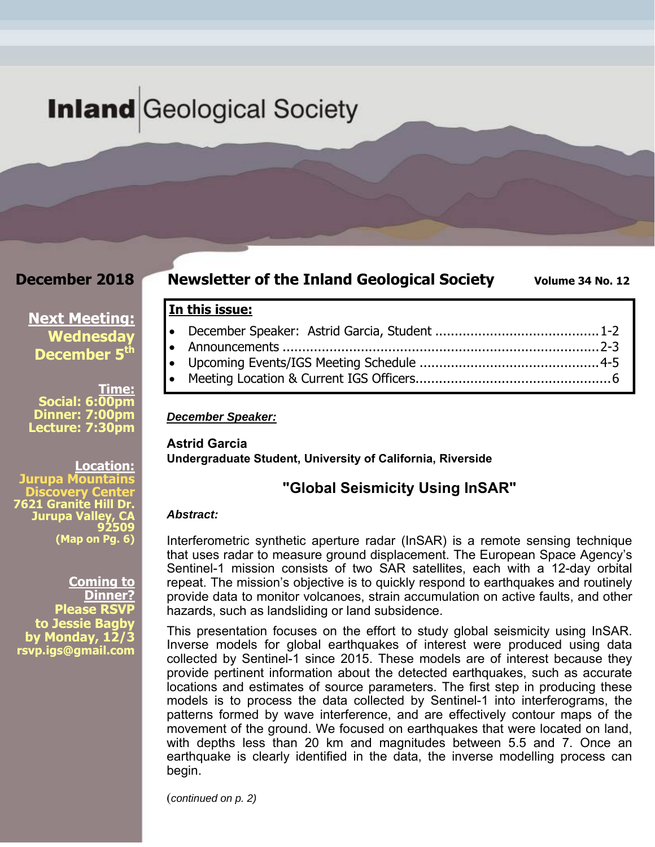# **Inland** Geological Society

### **December 2018**

### **Newsletter of the Inland Geological Society** Volume 34 No. 12

**Next Meeting: Wednesday December 5<sup>th</sup>** 

**Time: Social: 6:00pm Dinner: 7:00pm Lecture: 7:30pm** 

**Location:**  Jurupa Mountains **Discovery Center 7621 Granite Hill Dr. Jurupa Valley, CA 92509 (Map on Pg. 6)**

**Coming to Dinner? Please RSVP to Jessie Bagby by Monday, 12/3 rsvp.igs@gmail.com** 

*December Speaker:* 

**In this issue:** 

**Astrid Garcia Undergraduate Student, University of California, Riverside** 

### **"Global Seismicity Using InSAR"**

 December Speaker: Astrid Garcia, Student .......................................... 1-2 Announcements ................................................................................. 2-3 Upcoming Events/IGS Meeting Schedule .............................................. 4-5 Meeting Location & Current IGS Officers .................................................. 6

#### *Abstract:*

Interferometric synthetic aperture radar (InSAR) is a remote sensing technique that uses radar to measure ground displacement. The European Space Agency's Sentinel-1 mission consists of two SAR satellites, each with a 12-day orbital repeat. The mission's objective is to quickly respond to earthquakes and routinely provide data to monitor volcanoes, strain accumulation on active faults, and other hazards, such as landsliding or land subsidence.

This presentation focuses on the effort to study global seismicity using InSAR. Inverse models for global earthquakes of interest were produced using data collected by Sentinel-1 since 2015. These models are of interest because they provide pertinent information about the detected earthquakes, such as accurate locations and estimates of source parameters. The first step in producing these models is to process the data collected by Sentinel-1 into interferograms, the patterns formed by wave interference, and are effectively contour maps of the movement of the ground. We focused on earthquakes that were located on land, with depths less than 20 km and magnitudes between 5.5 and 7. Once an earthquake is clearly identified in the data, the inverse modelling process can begin.

(*continued on p. 2)*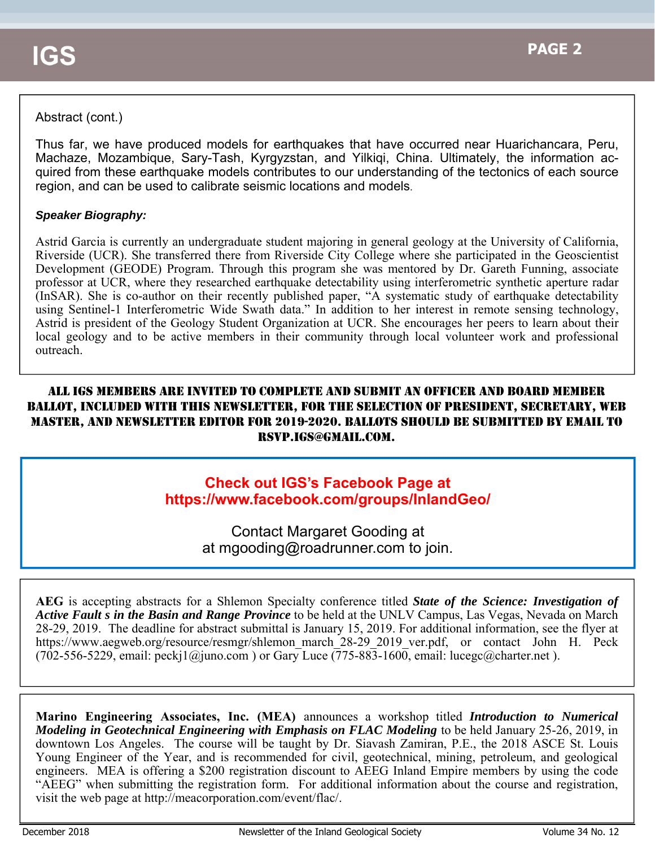### Abstract (cont.)

Thus far, we have produced models for earthquakes that have occurred near Huarichancara, Peru, Machaze, Mozambique, Sary-Tash, Kyrgyzstan, and Yilkiqi, China. Ultimately, the information acquired from these earthquake models contributes to our understanding of the tectonics of each source region, and can be used to calibrate seismic locations and models.

#### *Speaker Biography:*

Astrid Garcia is currently an undergraduate student majoring in general geology at the University of California, Riverside (UCR). She transferred there from Riverside City College where she participated in the Geoscientist Development (GEODE) Program. Through this program she was mentored by Dr. Gareth Funning, associate professor at UCR, where they researched earthquake detectability using interferometric synthetic aperture radar (InSAR). She is co-author on their recently published paper, "A systematic study of earthquake detectability using Sentinel-1 Interferometric Wide Swath data." In addition to her interest in remote sensing technology, Astrid is president of the Geology Student Organization at UCR. She encourages her peers to learn about their local geology and to be active members in their community through local volunteer work and professional outreach.

### ALL IGS MEMBERS ARE INVITED TO COMPLETE AND SUBMIT AN OFFICER AND BOARD MEMBER BALLOT, INCLUDED WITH THIS NEWSLETTER, FOR THE SELECTION OF PRESIDENT, SECRETARY, WEB MASTER, AND NEWSLETTER EDITOR FOR 2019-2020. BALLOTS SHOULD BE SUBMITTED BY EMAIL TO RSVP.IGS@GMAIL.COM.

## **Check out IGS's Facebook Page at https://www.facebook.com/groups/InlandGeo/**

Contact Margaret Gooding at at mgooding@roadrunner.com to join.

**AEG** is accepting abstracts for a Shlemon Specialty conference titled *State of the Science: Investigation of Active Fault s in the Basin and Range Province* to be held at the UNLV Campus, Las Vegas, Nevada on March 28-29, 2019. The deadline for abstract submittal is January 15, 2019. For additional information, see the flyer at https://www.aegweb.org/resource/resmgr/shlemon\_march\_28-29\_2019\_ver.pdf, or contact John H. Peck  $(702-556-5229, \text{ email: } \text{peckj1}(\hat{\omega})$ uno.com) or Gary Luce  $(775-883-1600, \text{ email: } \text{luceg}(\hat{\omega})$ charter.net).

**Marino Engineering Associates, Inc. (MEA)** announces a workshop titled *Introduction to Numerical Modeling in Geotechnical Engineering with Emphasis on FLAC Modeling* to be held January 25-26, 2019, in downtown Los Angeles. The course will be taught by Dr. Siavash Zamiran, P.E., the 2018 ASCE St. Louis Young Engineer of the Year, and is recommended for civil, geotechnical, mining, petroleum, and geological engineers. MEA is offering a \$200 registration discount to AEEG Inland Empire members by using the code "AEEG" when submitting the registration form. For additional information about the course and registration, visit the web page at http://meacorporation.com/event/flac/.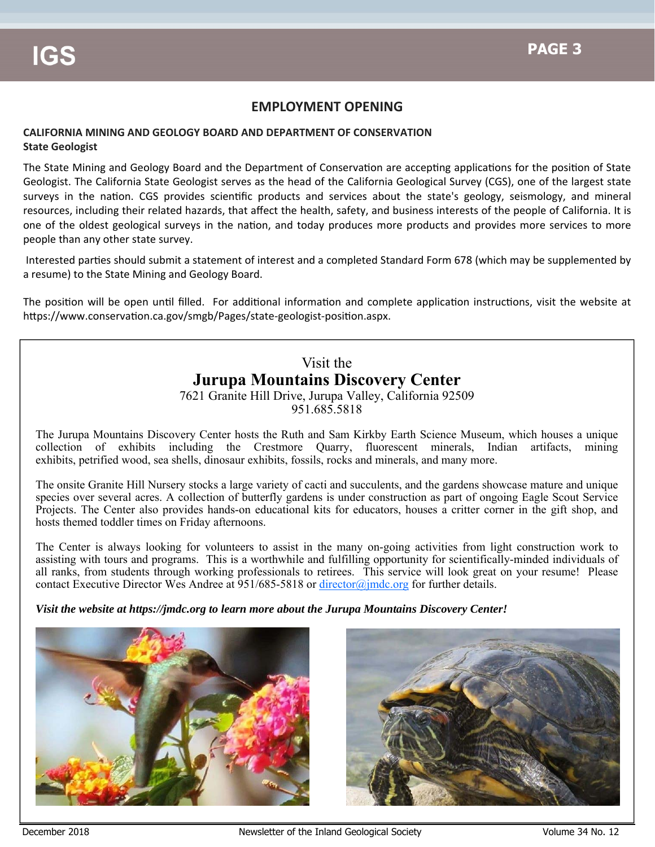#### **EMPLOYMENT OPENING**

#### **CALIFORNIA MINING AND GEOLOGY BOARD AND DEPARTMENT OF CONSERVATION State Geologist**

The State Mining and Geology Board and the Department of Conservation are accepting applications for the position of State Geologist. The California State Geologist serves as the head of the California Geological Survey (CGS), one of the largest state surveys in the nation. CGS provides scientific products and services about the state's geology, seismology, and mineral resources, including their related hazards, that affect the health, safety, and business interests of the people of California. It is one of the oldest geological surveys in the nation, and today produces more products and provides more services to more people than any other state survey.

Interested parties should submit a statement of interest and a completed Standard Form 678 (which may be supplemented by a resume) to the State Mining and Geology Board.

The position will be open until filled. For additional information and complete application instructions, visit the website at https://www.conservation.ca.gov/smgb/Pages/state-geologist-position.aspx.

### Visit the **Jurupa Mountains Discovery Center**

7621 Granite Hill Drive, Jurupa Valley, California 92509 951.685.5818

The Jurupa Mountains Discovery Center hosts the Ruth and Sam Kirkby Earth Science Museum, which houses a unique collection of exhibits including the Crestmore Quarry, fluorescent minerals, Indian artifacts, mining exhibits, petrified wood, sea shells, dinosaur exhibits, fossils, rocks and minerals, and many more.

The onsite Granite Hill Nursery stocks a large variety of cacti and succulents, and the gardens showcase mature and unique species over several acres. A collection of butterfly gardens is under construction as part of ongoing Eagle Scout Service Projects. The Center also provides hands-on educational kits for educators, houses a critter corner in the gift shop, and hosts themed toddler times on Friday afternoons.

The Center is always looking for volunteers to assist in the many on-going activities from light construction work to assisting with tours and programs. This is a worthwhile and fulfilling opportunity for scientifically-minded individuals of all ranks, from students through working professionals to retirees. This service will look great on your resume! Please contact Executive Director Wes Andree at 951/685-5818 or director@jmdc.org for further details.

*Visit the website at https://jmdc.org to learn more about the Jurupa Mountains Discovery Center!*



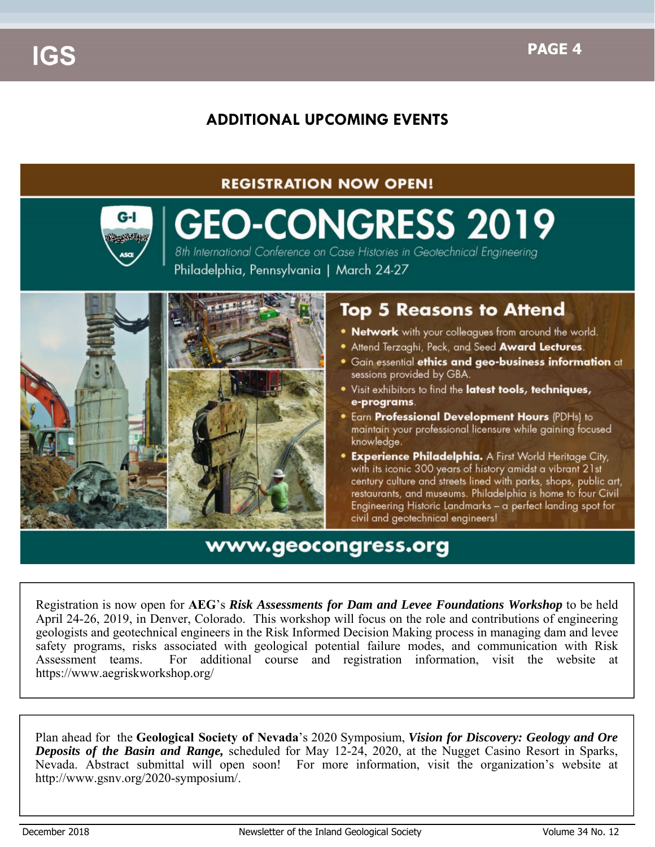# **ADDITIONAL UPCOMING EVENTS**

### **REGISTRATION NOW OPEN!**



# **GEO-CONGRESS 2019**

8th International Conference on Case Histories in Geotechnical Engineering Philadelphia, Pennsylvania | March 24-27



# **Top 5 Reasons to Attend**

- Network with your colleagues from around the world.
- . Attend Terzaghi, Peck, and Seed Award Lectures.
- **Gain essential ethics and geo-business information** at sessions provided by GBA.
- Visit exhibitors to find the latest tools, techniques, e-programs.
- **Earn Professional Development Hours (PDHs) to** maintain your professional licensure while gaining focused knowledge.
- **Experience Philadelphia.** A First World Heritage City, with its iconic 300 years of history amidst a vibrant 21st century culture and streets lined with parks, shops, public art, restaurants, and museums. Philadelphia is home to four Civil Engineering Historic Landmarks - a perfect landing spot for civil and geotechnical engineers!

# www.geocongress.org

Registration is now open for **AEG**'s *Risk Assessments for Dam and Levee Foundations Workshop* to be held April 24-26, 2019, in Denver, Colorado. This workshop will focus on the role and contributions of engineering geologists and geotechnical engineers in the Risk Informed Decision Making process in managing dam and levee safety programs, risks associated with geological potential failure modes, and communication with Risk Assessment teams. For additional course and registration information, visit the website at https://www.aegriskworkshop.org/

Plan ahead for the **Geological Society of Nevada**'s 2020 Symposium, *Vision for Discovery: Geology and Ore Deposits of the Basin and Range,* scheduled for May 12-24, 2020, at the Nugget Casino Resort in Sparks, Nevada. Abstract submittal will open soon! For more information, visit the organization's website at http://www.gsnv.org/2020-symposium/.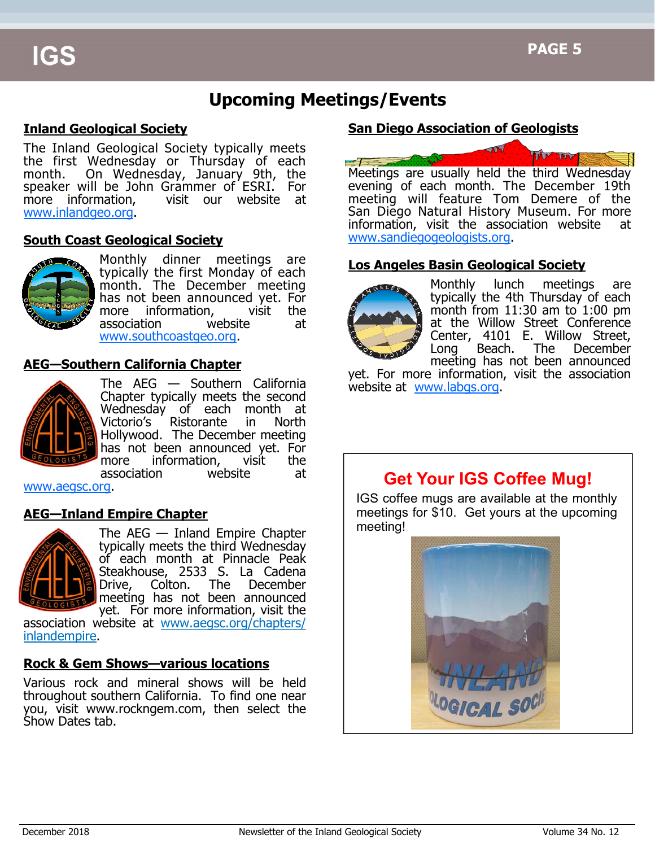# **Upcoming Meetings/Events**

#### **Inland Geological Society**

The Inland Geological Society typically meets the first Wednesday or Thursday of each month. On Wednesday, January 9th, the speaker will be John Grammer of ESRI. For<br>more information, visit our website at visit our website at www.inlandgeo.org.

#### **South Coast Geological Society**



Monthly dinner meetings are typically the first Monday of each month. The December meeting has not been announced yet. For more information, visit the association website at www.southcoastgeo.org.

#### **AEG—Southern California Chapter**



The AEG — Southern California Chapter typically meets the second Wednesday of each month at Victorio's Ristorante in North Hollywood. The December meeting has not been announced vet. For more information, visit the association website at

www.aegsc.org.

#### **AEG—Inland Empire Chapter**



The AEG — Inland Empire Chapter typically meets the third Wednesday of each month at Pinnacle Peak Steakhouse, 2533 S. La Cadena Drive, Colton. The December meeting has not been announced yet. For more information, visit the

association website at www.aegsc.org/chapters/ inlandempire.

#### **Rock & Gem Shows—various locations**

Various rock and mineral shows will be held throughout southern California. To find one near you, visit www.rockngem.com, then select the Show Dates tab.

#### **San Diego Association of Geologists**



Meetings are usually held the third Wednesday evening of each month. The December 19th meeting will feature Tom Demere of the San Diego Natural History Museum. For more information, visit the association website at www.sandiegogeologists.org.

#### **Los Angeles Basin Geological Society**



Monthly lunch meetings are typically the 4th Thursday of each month from  $11:30$  am to  $1:00$  pm at the Willow Street Conference Center, 4101 E. Willow Street, Long Beach. The December meeting has not been announced

yet. For more information, visit the association website at www.labgs.org.

# **Get Your IGS Coffee Mug!**

IGS coffee mugs are available at the monthly meetings for \$10. Get yours at the upcoming meeting!